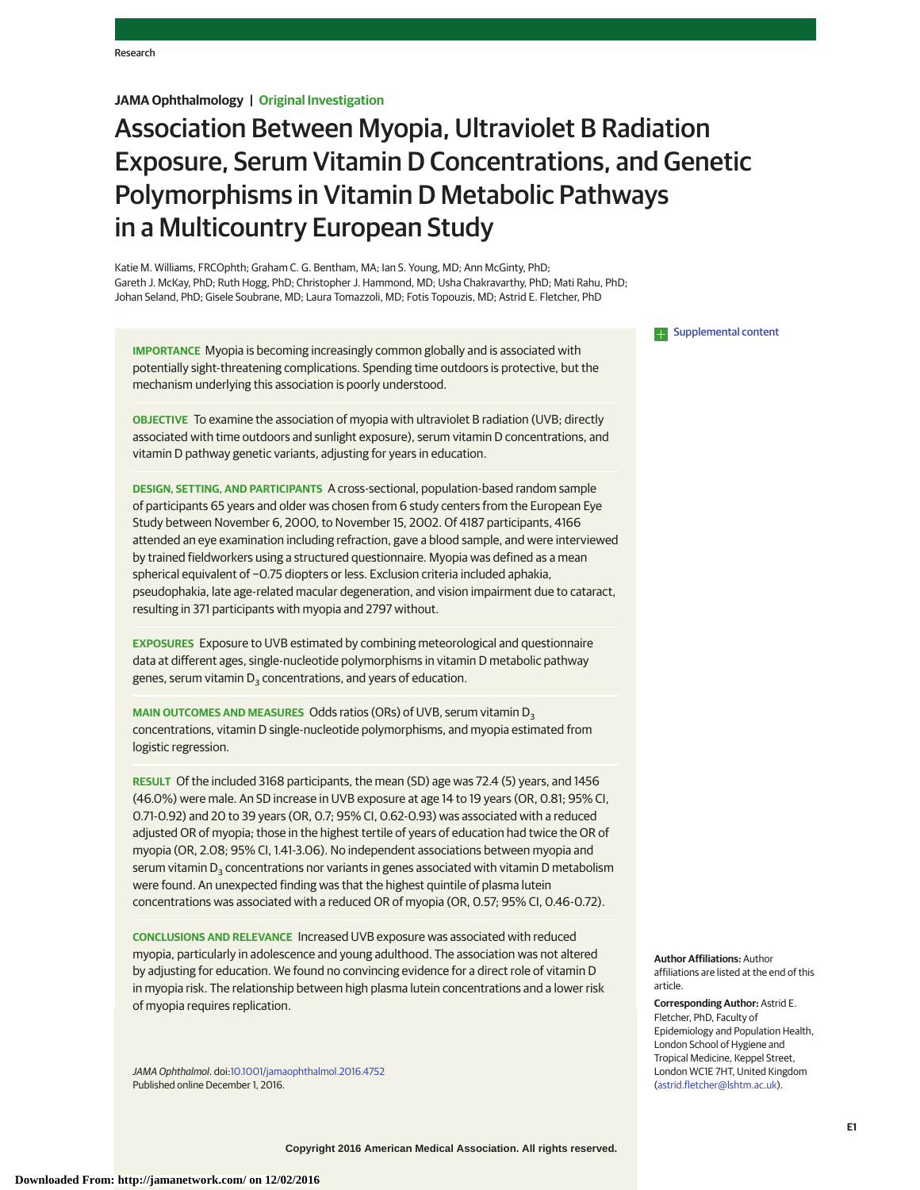# **JAMA Ophthalmology | Original Investigation**

# Association Between Myopia, Ultraviolet B Radiation Exposure, Serum Vitamin D Concentrations, and Genetic Polymorphisms in Vitamin D Metabolic Pathways in a Multicountry European Study

Katie M. Williams, FRCOphth; Graham C. G. Bentham, MA; Ian S. Young, MD; Ann McGinty, PhD; Gareth J. McKay, PhD; Ruth Hogg, PhD; Christopher J. Hammond, MD; Usha Chakravarthy, PhD; Mati Rahu, PhD; Johan Seland, PhD; Gisele Soubrane, MD; Laura Tomazzoli, MD; Fotis Topouzis, MD; Astrid E. Fletcher, PhD

**IMPORTANCE** Myopia is becoming increasingly common globally and is associated with potentially sight-threatening complications. Spending time outdoors is protective, but the mechanism underlying this association is poorly understood.

**OBJECTIVE** To examine the association of myopia with ultraviolet B radiation (UVB; directly associated with time outdoors and sunlight exposure), serum vitamin D concentrations, and vitamin D pathway genetic variants, adjusting for years in education.

**DESIGN, SETTING, AND PARTICIPANTS** A cross-sectional, population-based random sample of participants 65 years and older was chosen from 6 study centers from the European Eye Study between November 6, 2000, to November 15, 2002. Of 4187 participants, 4166 attended an eye examination including refraction, gave a blood sample, and were interviewed by trained fieldworkers using a structured questionnaire. Myopia was defined as a mean spherical equivalent of −0.75 diopters or less. Exclusion criteria included aphakia, pseudophakia, late age-related macular degeneration, and vision impairment due to cataract, resulting in 371 participants with myopia and 2797 without.

**EXPOSURES** Exposure to UVB estimated by combining meteorological and questionnaire data at different ages, single-nucleotide polymorphisms in vitamin D metabolic pathway genes, serum vitamin  $D_3$  concentrations, and years of education.

**MAIN OUTCOMES AND MEASURES** Odds ratios (ORs) of UVB, serum vitamin D<sub>3</sub> concentrations, vitamin D single-nucleotide polymorphisms, and myopia estimated from logistic regression.

**RESULT** Of the included 3168 participants, the mean (SD) age was 72.4 (5) years, and 1456 (46.0%) were male. An SD increase in UVB exposure at age 14 to 19 years (OR, 0.81; 95% CI, 0.71-0.92) and 20 to 39 years (OR, 0.7; 95% CI, 0.62-0.93) was associated with a reduced adjusted OR of myopia; those in the highest tertile of years of education had twice the OR of myopia (OR, 2.08; 95% CI, 1.41-3.06). No independent associations between myopia and serum vitamin  $D_3$  concentrations nor variants in genes associated with vitamin D metabolism were found. An unexpected finding was that the highest quintile of plasma lutein concentrations was associated with a reduced OR of myopia (OR, 0.57; 95% CI, 0.46-0.72).

**CONCLUSIONS AND RELEVANCE** Increased UVB exposure was associated with reduced myopia, particularly in adolescence and young adulthood. The association was not altered by adjusting for education. We found no convincing evidence for a direct role of vitamin D in myopia risk. The relationship between high plasma lutein concentrations and a lower risk of myopia requires replication.

JAMA Ophthalmol. doi[:10.1001/jamaophthalmol.2016.4752](http://jama.jamanetwork.com/article.aspx?doi=10.1001/jamaophthalmol.2016.4752&utm_campaign=articlePDF%26utm_medium=articlePDFlink%26utm_source=articlePDF%26utm_content=jamaophthalmol.2016.4752) Published online December 1, 2016.

**Examplemental content** 

**Author Affiliations:** Author affiliations are listed at the end of this article.

**Corresponding Author:** Astrid E. Fletcher, PhD, Faculty of Epidemiology and Population Health, London School of Hygiene and Tropical Medicine, Keppel Street, London WC1E 7HT, United Kingdom [\(astrid.fletcher@lshtm.ac.uk\)](mailto:astrid.fletcher@lshtm.ac.uk).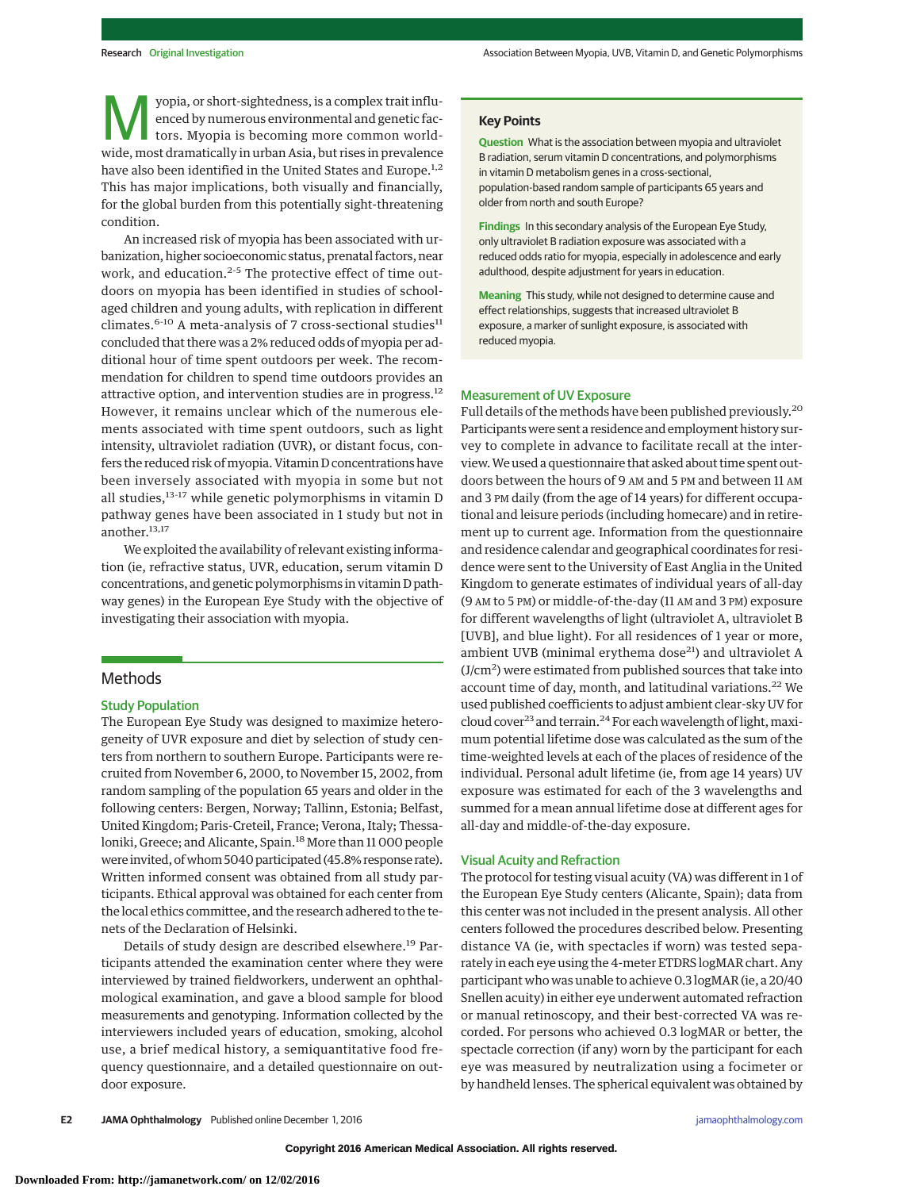Vopia, or short-sightedness, is a complex trait influ-<br>
enced by numerous environmental and genetic fac-<br>
tors. Myopia is becoming more common worldenced by numerous environmental and genetic facwide, most dramatically in urban Asia, but rises in prevalence have also been identified in the United States and Europe.<sup>1,2</sup> This has major implications, both visually and financially, for the global burden from this potentially sight-threatening condition.

An increased risk of myopia has been associated with urbanization, higher socioeconomic status, prenatal factors, near work, and education.<sup>2-5</sup> The protective effect of time outdoors on myopia has been identified in studies of schoolaged children and young adults, with replication in different climates.<sup>6-10</sup> A meta-analysis of 7 cross-sectional studies<sup>11</sup> concluded that there was a 2% reduced odds of myopia per additional hour of time spent outdoors per week. The recommendation for children to spend time outdoors provides an attractive option, and intervention studies are in progress.<sup>12</sup> However, it remains unclear which of the numerous elements associated with time spent outdoors, such as light intensity, ultraviolet radiation (UVR), or distant focus, confers the reduced risk of myopia. Vitamin D concentrations have been inversely associated with myopia in some but not all studies, $13-17$  while genetic polymorphisms in vitamin D pathway genes have been associated in 1 study but not in another.<sup>13,17</sup>

We exploited the availability of relevant existing information (ie, refractive status, UVR, education, serum vitamin D concentrations, and genetic polymorphisms in vitamin D pathway genes) in the European Eye Study with the objective of investigating their association with myopia.

# Methods

### Study Population

The European Eye Study was designed to maximize heterogeneity of UVR exposure and diet by selection of study centers from northern to southern Europe. Participants were recruited from November 6, 2000, to November 15, 2002, from random sampling of the population 65 years and older in the following centers: Bergen, Norway; Tallinn, Estonia; Belfast, United Kingdom; Paris-Creteil, France; Verona, Italy; Thessaloniki, Greece; and Alicante, Spain.<sup>18</sup> More than 11 000 people were invited, of whom 5040 participated (45.8% response rate). Written informed consent was obtained from all study participants. Ethical approval was obtained for each center from the local ethics committee, and the research adhered to the tenets of the Declaration of Helsinki.

Details of study design are described elsewhere.<sup>19</sup> Participants attended the examination center where they were interviewed by trained fieldworkers, underwent an ophthalmological examination, and gave a blood sample for blood measurements and genotyping. Information collected by the interviewers included years of education, smoking, alcohol use, a brief medical history, a semiquantitative food frequency questionnaire, and a detailed questionnaire on outdoor exposure.

# **Key Points**

**Question** What is the association between myopia and ultraviolet B radiation, serum vitamin D concentrations, and polymorphisms in vitamin D metabolism genes in a cross-sectional, population-based random sample of participants 65 years and older from north and south Europe?

**Findings** In this secondary analysis of the European Eye Study, only ultraviolet B radiation exposure was associated with a reduced odds ratio for myopia, especially in adolescence and early adulthood, despite adjustment for years in education.

**Meaning** This study, while not designed to determine cause and effect relationships, suggests that increased ultraviolet B exposure, a marker of sunlight exposure, is associated with reduced myopia.

## Measurement of UV Exposure

Full details of the methods have been published previously.20 Participants were sent a residence and employment history survey to complete in advance to facilitate recall at the interview.We used a questionnaire that asked about time spent outdoors between the hours of 9 AM and 5 PM and between 11 AM and 3 PM daily (from the age of 14 years) for different occupational and leisure periods (including homecare) and in retirement up to current age. Information from the questionnaire and residence calendar and geographical coordinates for residence were sent to the University of East Anglia in the United Kingdom to generate estimates of individual years of all-day (9 AM to 5 PM) or middle-of-the-day (11 AM and 3 PM) exposure for different wavelengths of light (ultraviolet A, ultraviolet B [UVB], and blue light). For all residences of 1 year or more, ambient UVB (minimal erythema dose $^{21}$ ) and ultraviolet A (J/cm<sup>2</sup>) were estimated from published sources that take into account time of day, month, and latitudinal variations.<sup>22</sup> We used published coefficients to adjust ambient clear-sky UV for cloud cover<sup>23</sup> and terrain.<sup>24</sup> For each wavelength of light, maximum potential lifetime dose was calculated as the sum of the time-weighted levels at each of the places of residence of the individual. Personal adult lifetime (ie, from age 14 years) UV exposure was estimated for each of the 3 wavelengths and summed for a mean annual lifetime dose at different ages for all-day and middle-of-the-day exposure.

## Visual Acuity and Refraction

The protocol for testing visual acuity (VA) was different in 1 of the European Eye Study centers (Alicante, Spain); data from this center was not included in the present analysis. All other centers followed the procedures described below. Presenting distance VA (ie, with spectacles if worn) was tested separately in each eye using the 4-meter ETDRS logMAR chart. Any participant who was unable to achieve 0.3 logMAR (ie, a 20/40 Snellen acuity) in either eye underwent automated refraction or manual retinoscopy, and their best-corrected VA was recorded. For persons who achieved 0.3 logMAR or better, the spectacle correction (if any) worn by the participant for each eye was measured by neutralization using a focimeter or by handheld lenses. The spherical equivalent was obtained by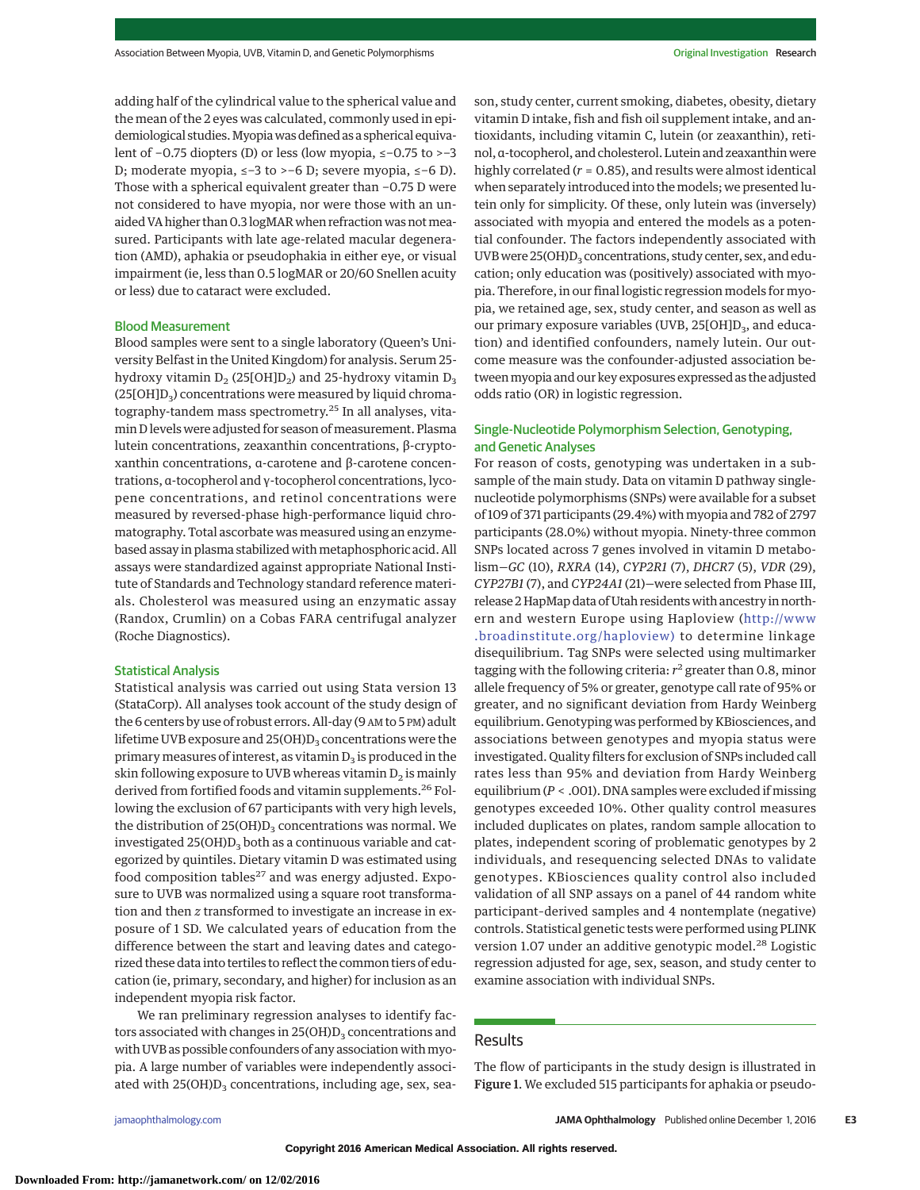adding half of the cylindrical value to the spherical value and the mean of the 2 eyes was calculated, commonly used in epidemiological studies.Myopiawas defined as a spherical equivalent of −0.75 diopters (D) or less (low myopia, ≤−0.75 to >−3 D; moderate myopia, ≤−3 to >−6 D; severe myopia, ≤−6 D). Those with a spherical equivalent greater than −0.75 D were not considered to have myopia, nor were those with an unaided VA higher than 0.3 logMAR when refraction was not measured. Participants with late age-related macular degeneration (AMD), aphakia or pseudophakia in either eye, or visual impairment (ie, less than 0.5 logMAR or 20/60 Snellen acuity or less) due to cataract were excluded.

## Blood Measurement

Blood samples were sent to a single laboratory (Queen's University Belfast in the United Kingdom) for analysis. Serum 25 hydroxy vitamin  $D_2$  (25[OH] $D_2$ ) and 25-hydroxy vitamin  $D_3$  $(25[OH]D<sub>3</sub>)$  concentrations were measured by liquid chromatography-tandem mass spectrometry.<sup>25</sup> In all analyses, vitamin D levels were adjusted for season of measurement. Plasma lutein concentrations, zeaxanthin concentrations, β-cryptoxanthin concentrations, α-carotene and β-carotene concentrations, α-tocopherol and γ-tocopherol concentrations, lycopene concentrations, and retinol concentrations were measured by reversed-phase high-performance liquid chromatography. Total ascorbate was measured using an enzymebased assay in plasma stabilized with metaphosphoric acid. All assays were standardized against appropriate National Institute of Standards and Technology standard reference materials. Cholesterol was measured using an enzymatic assay (Randox, Crumlin) on a Cobas FARA centrifugal analyzer (Roche Diagnostics).

### Statistical Analysis

Statistical analysis was carried out using Stata version 13 (StataCorp). All analyses took account of the study design of the 6 centers by use of robust errors. All-day (9 AM to 5 PM) adult lifetime UVB exposure and  $25(OH)D_3$  concentrations were the primary measures of interest, as vitamin  $D_3$  is produced in the skin following exposure to UVB whereas vitamin  $D_2$  is mainly derived from fortified foods and vitamin supplements.<sup>26</sup> Following the exclusion of 67 participants with very high levels, the distribution of  $25(OH)D<sub>3</sub>$  concentrations was normal. We investigated  $25(OH)D_3$  both as a continuous variable and categorized by quintiles. Dietary vitamin D was estimated using food composition tables $^{27}$  and was energy adjusted. Exposure to UVB was normalized using a square root transformation and then *z* transformed to investigate an increase in exposure of 1 SD. We calculated years of education from the difference between the start and leaving dates and categorized these data into tertiles to reflect the common tiers of education (ie, primary, secondary, and higher) for inclusion as an independent myopia risk factor.

We ran preliminary regression analyses to identify factors associated with changes in  $25(OH)D<sub>3</sub>$  concentrations and with UVB as possible confounders of any association withmyopia. A large number of variables were independently associated with  $25(OH)D_3$  concentrations, including age, sex, season, study center, current smoking, diabetes, obesity, dietary vitamin D intake, fish and fish oil supplement intake, and antioxidants, including vitamin C, lutein (or zeaxanthin), retinol, α-tocopherol, and cholesterol. Lutein and zeaxanthin were highly correlated (*r* = 0.85), and results were almost identical when separately introduced into the models; we presented lutein only for simplicity. Of these, only lutein was (inversely) associated with myopia and entered the models as a potential confounder. The factors independently associated with UVB were  $25(OH)D_3$  concentrations, study center, sex, and education; only education was (positively) associated with myopia. Therefore, in our final logistic regression models for myopia, we retained age, sex, study center, and season as well as our primary exposure variables (UVB,  $25[OH]D<sub>3</sub>$ , and education) and identified confounders, namely lutein. Our outcome measure was the confounder-adjusted association between myopia and our key exposures expressed as the adjusted odds ratio (OR) in logistic regression.

# Single-Nucleotide Polymorphism Selection, Genotyping, and Genetic Analyses

For reason of costs, genotyping was undertaken in a subsample of the main study. Data on vitamin D pathway singlenucleotide polymorphisms (SNPs) were available for a subset of 109 of 371 participants (29.4%) with myopia and 782 of 2797 participants (28.0%) without myopia. Ninety-three common SNPs located across 7 genes involved in vitamin D metabolism—*GC* (10), *RXRA* (14), *CYP2R1* (7), *DHCR7* (5), *VDR* (29), *CYP27B1* (7), and *CYP24A1* (21)—were selected from Phase III, release 2 HapMap data of Utah residents with ancestry in northern and western Europe using Haploview [\(http://www](http://www.broadinstitute.org/haploview) [.broadinstitute.org/haploview\)](http://www.broadinstitute.org/haploview) to determine linkage disequilibrium. Tag SNPs were selected using multimarker tagging with the following criteria:  $r^2$  greater than 0.8, minor allele frequency of 5% or greater, genotype call rate of 95% or greater, and no significant deviation from Hardy Weinberg equilibrium. Genotyping was performed by KBiosciences, and associations between genotypes and myopia status were investigated. Quality filters for exclusion of SNPs included call rates less than 95% and deviation from Hardy Weinberg equilibrium (*P* < .001). DNA samples were excluded if missing genotypes exceeded 10%. Other quality control measures included duplicates on plates, random sample allocation to plates, independent scoring of problematic genotypes by 2 individuals, and resequencing selected DNAs to validate genotypes. KBiosciences quality control also included validation of all SNP assays on a panel of 44 random white participant–derived samples and 4 nontemplate (negative) controls. Statistical genetic tests were performed using PLINK version 1.07 under an additive genotypic model.<sup>28</sup> Logistic regression adjusted for age, sex, season, and study center to examine association with individual SNPs.

# **Results**

The flow of participants in the study design is illustrated in Figure 1. We excluded 515 participants for aphakia or pseudo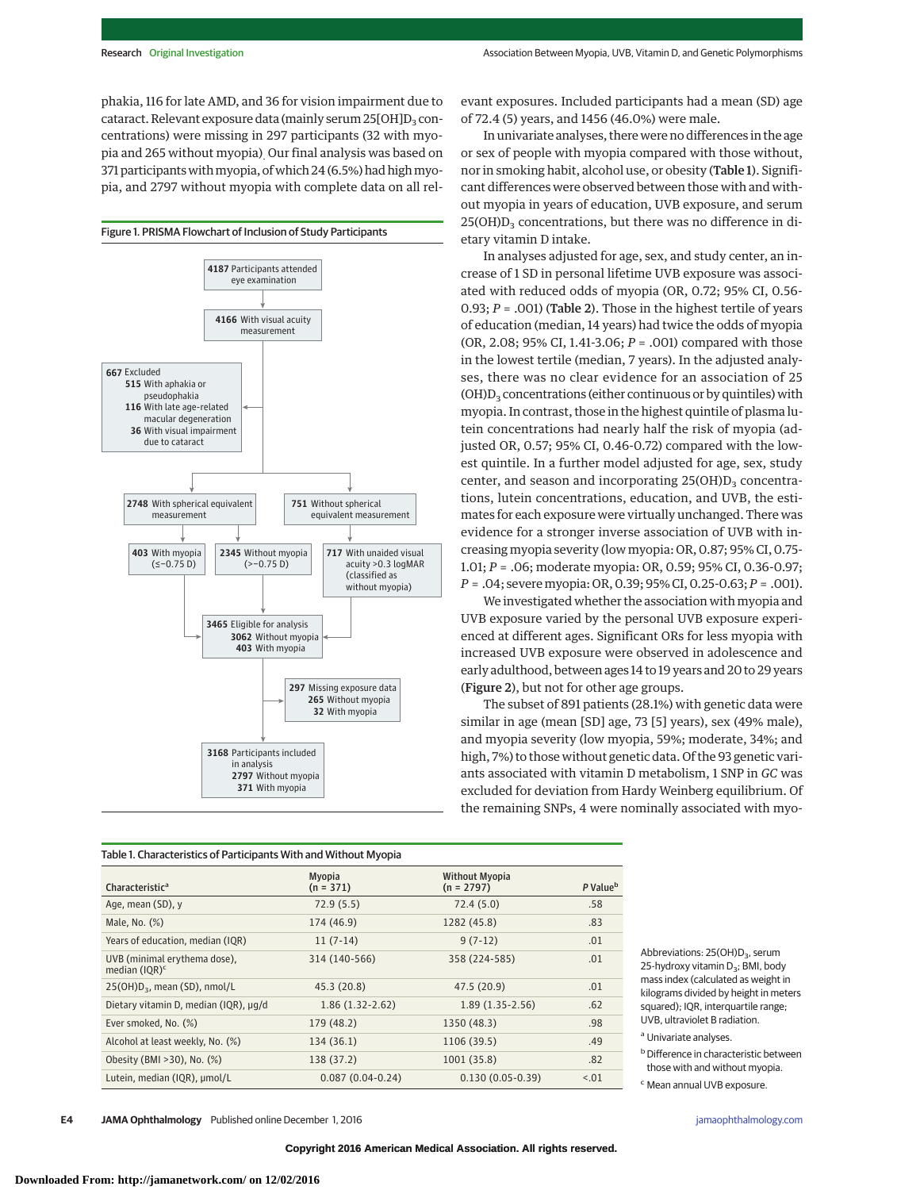phakia, 116 for late AMD, and 36 for vision impairment due to cataract. Relevant exposure data (mainly serum  $25[OH]D<sub>3</sub>$  concentrations) were missing in 297 participants (32 with myopia and 265 without myopia). Our final analysis was based on 371 participants with myopia, of which 24 (6.5%) had high myopia, and 2797 without myopia with complete data on all rel-



evant exposures. Included participants had a mean (SD) age of 72.4 (5) years, and 1456 (46.0%) were male.

In univariate analyses, there were no differences in the age or sex of people with myopia compared with those without, nor in smoking habit, alcohol use, or obesity (Table 1). Significant differences were observed between those with and without myopia in years of education, UVB exposure, and serum  $25(OH)D<sub>3</sub>$  concentrations, but there was no difference in dietary vitamin D intake.

In analyses adjusted for age, sex, and study center, an increase of 1 SD in personal lifetime UVB exposure was associated with reduced odds of myopia (OR, 0.72; 95% CI, 0.56- 0.93;  $P = .001$ ) (Table 2). Those in the highest tertile of years of education (median, 14 years) had twice the odds of myopia (OR, 2.08; 95% CI, 1.41-3.06; *P* = .001) compared with those in the lowest tertile (median, 7 years). In the adjusted analyses, there was no clear evidence for an association of 25  $(OH)D<sub>3</sub>$  concentrations (either continuous or by quintiles) with myopia. In contrast, those in the highest quintile of plasma lutein concentrations had nearly half the risk of myopia (adjusted OR, 0.57; 95% CI, 0.46-0.72) compared with the lowest quintile. In a further model adjusted for age, sex, study center, and season and incorporating  $25(OH)D<sub>3</sub>$  concentrations, lutein concentrations, education, and UVB, the estimates for each exposure were virtually unchanged. There was evidence for a stronger inverse association of UVB with increasing myopia severity (low myopia: OR, 0.87; 95% CI, 0.75- 1.01; *P* = .06; moderate myopia: OR, 0.59; 95% CI, 0.36-0.97; *P* = .04; severe myopia: OR, 0.39; 95% CI, 0.25-0.63; *P* = .001).

We investigated whether the association with myopia and UVB exposure varied by the personal UVB exposure experienced at different ages. Significant ORs for less myopia with increased UVB exposure were observed in adolescence and early adulthood, between ages 14 to 19 years and 20 to 29 years (Figure 2), but not for other age groups.

The subset of 891 patients (28.1%) with genetic data were similar in age (mean [SD] age, 73 [5] years), sex (49% male), and myopia severity (low myopia, 59%; moderate, 34%; and high, 7%) to those without genetic data. Of the 93 genetic variants associated with vitamin D metabolism, 1 SNP in *GC* was excluded for deviation from Hardy Weinberg equilibrium. Of the remaining SNPs, 4 were nominally associated with myo-

#### Table 1. Characteristics of Participants With and Without Myopia

| Characteristic <sup>a</sup>                      | <b>Myopia</b><br>$(n = 371)$ | <b>Without Myopia</b><br>$(n = 2797)$ | P Value <sup>b</sup> |
|--------------------------------------------------|------------------------------|---------------------------------------|----------------------|
| Age, mean (SD), y                                | 72.9(5.5)                    | 72.4(5.0)                             | .58                  |
| Male, No. (%)                                    | 174 (46.9)                   | 1282 (45.8)                           | .83                  |
| Years of education, median (IQR)                 | $11(7-14)$                   | $9(7-12)$                             | .01                  |
| UVB (minimal erythema dose),<br>median $(IQR)^c$ | 314 (140-566)                | 358 (224-585)                         | .01                  |
| $25(OH)D3$ , mean (SD), nmol/L                   | 45.3 (20.8)                  | 47.5 (20.9)                           | .01                  |
| Dietary vitamin D, median (IQR), µq/d            | $1.86(1.32-2.62)$            | $1.89(1.35-2.56)$                     | .62                  |
| Ever smoked, No. (%)                             | 179 (48.2)                   | 1350 (48.3)                           | .98                  |
| Alcohol at least weekly, No. (%)                 | 134 (36.1)                   | 1106 (39.5)                           | .49                  |
| Obesity (BMI > 30), No. (%)                      | 138 (37.2)                   | 1001 (35.8)                           | .82                  |
| Lutein, median (IQR), umol/L                     | $0.087(0.04-0.24)$           | $0.130(0.05-0.39)$                    | < 0.01               |

Abbreviations: 25(OH)D<sub>3</sub>, serum 25-hydroxy vitamin  $D_3$ ; BMI, body mass index (calculated as weight in kilograms divided by height in meters squared); IQR, interquartile range; UVB, ultraviolet B radiation.

#### <sup>a</sup> Univariate analyses.

**b** Difference in characteristic between those with and without myopia.

<sup>c</sup> Mean annual UVB exposure.

**E4 JAMA Ophthalmology** Published online December 1, 2016 **(Reprinted)** and provide a state of the state of the state of the state of the state of the state of the state of the state of the state of the state of the state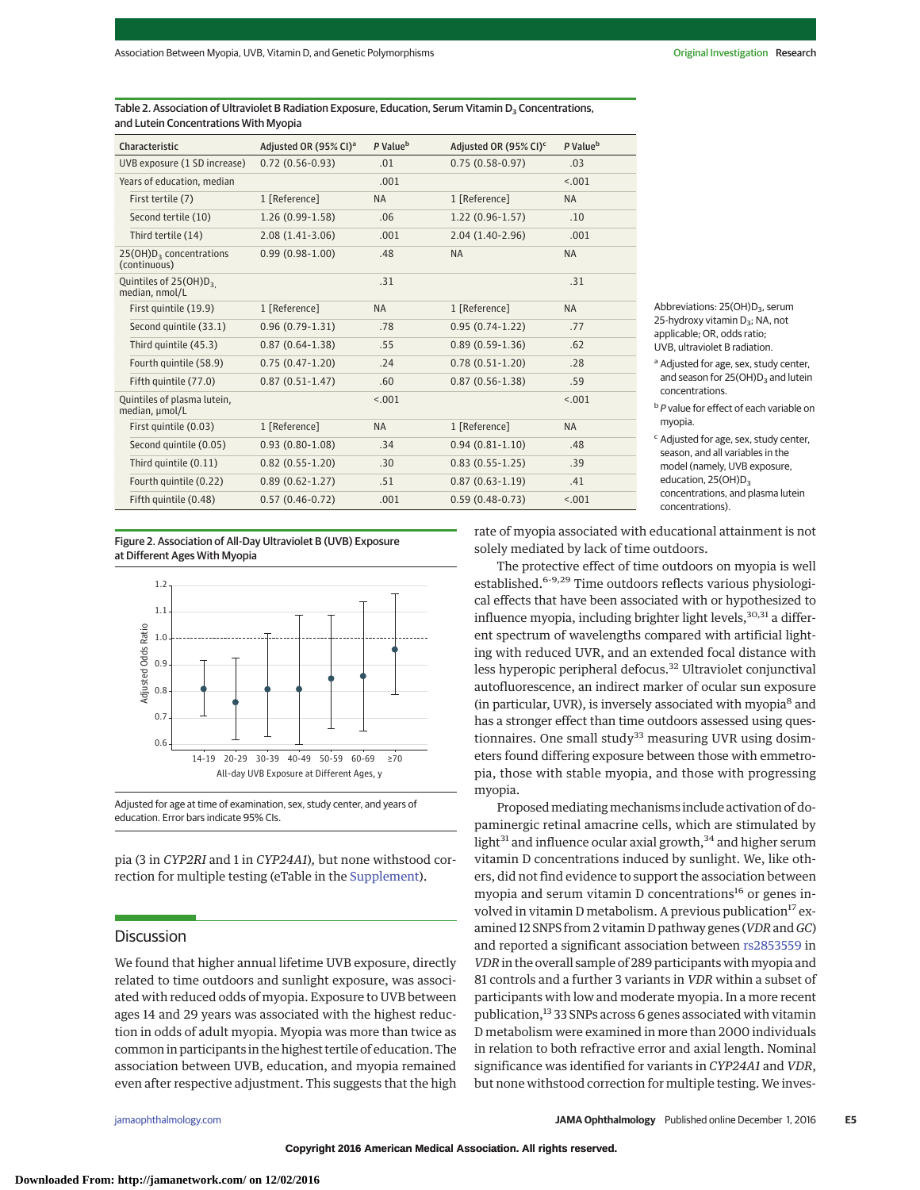Table 2. Association of Ultraviolet B Radiation Exposure, Education, Serum Vitamin D<sub>2</sub> Concentrations, and Lutein Concentrations With Myopia

| Characteristic                                      | Adjusted OR (95% CI) <sup>a</sup> | P Value <sup>b</sup> | Adjusted OR (95% CI) <sup>c</sup> | P Value <sup>b</sup> |
|-----------------------------------------------------|-----------------------------------|----------------------|-----------------------------------|----------------------|
| UVB exposure (1 SD increase)                        | $0.72(0.56-0.93)$                 | .01                  | $0.75(0.58-0.97)$                 | .03                  |
| Years of education, median                          |                                   | .001                 |                                   | < .001               |
| First tertile (7)                                   | 1 [Reference]                     | <b>NA</b>            | 1 [Reference]                     | <b>NA</b>            |
| Second tertile (10)                                 | $1.26(0.99-1.58)$                 | .06                  | $1.22(0.96-1.57)$                 | .10                  |
| Third tertile (14)                                  | $2.08(1.41-3.06)$                 | .001                 | $2.04(1.40-2.96)$                 | .001                 |
| 25(OH)D <sub>3</sub> concentrations<br>(continuous) | $0.99(0.98-1.00)$                 | .48                  | <b>NA</b>                         | <b>NA</b>            |
| Quintiles of $25(OH)D_3$<br>median, nmol/L          |                                   | .31                  |                                   | .31                  |
| First quintile (19.9)                               | 1 [Reference]                     | <b>NA</b>            | 1 [Reference]                     | <b>NA</b>            |
| Second quintile (33.1)                              | $0.96(0.79-1.31)$                 | .78                  | $0.95(0.74-1.22)$                 | .77                  |
| Third quintile (45.3)                               | $0.87(0.64 - 1.38)$               | .55                  | $0.89(0.59-1.36)$                 | .62                  |
| Fourth quintile (58.9)                              | $0.75(0.47-1.20)$                 | .24                  | $0.78(0.51-1.20)$                 | .28                  |
| Fifth quintile (77.0)                               | $0.87(0.51-1.47)$                 | .60                  | $0.87(0.56 - 1.38)$               | .59                  |
| Ouintiles of plasma lutein.<br>median, umol/L       |                                   | 15.001               |                                   | < .001               |
| First quintile (0.03)                               | 1 [Reference]                     | <b>NA</b>            | 1 [Reference]                     | <b>NA</b>            |
| Second quintile (0.05)                              | $0.93(0.80-1.08)$                 | .34                  | $0.94(0.81-1.10)$                 | .48                  |
| Third quintile (0.11)                               | $0.82(0.55 - 1.20)$               | .30                  | $0.83(0.55-1.25)$                 | .39                  |
| Fourth quintile (0.22)                              | $0.89(0.62 - 1.27)$               | .51                  | $0.87(0.63-1.19)$                 | .41                  |
| Fifth quintile (0.48)                               | $0.57(0.46 - 0.72)$               | .001                 | $0.59(0.48-0.73)$                 | < .001               |

Abbreviations: 25(OH)D<sub>3</sub>, serum 25-hydroxy vitamin  $D_3$ ; NA, not applicable; OR, odds ratio; UVB, ultraviolet B radiation.

- a Adjusted for age, sex, study center, and season for  $25(OH)D<sub>3</sub>$  and lutein concentrations.
- **b** P value for effect of each variable on myopia.
- <sup>c</sup> Adjusted for age, sex, study center, season, and all variables in the model (namely, UVB exposure, education, 25(OH)D<sub>3</sub> concentrations, and plasma lutein concentrations).

Figure 2. Association of All-Day Ultraviolet B (UVB) Exposure at Different Ages With Myopia



Adjusted for age at time of examination, sex, study center, and years of education. Error bars indicate 95% CIs.

pia (3 in *CYP2RI* and 1 in *CYP24A1*)*,* but none withstood correction for multiple testing (eTable in the [Supplement\)](http://jama.jamanetwork.com/article.aspx?doi=10.1001/jamaophthalmol.2016.4752&utm_campaign=articlePDF%26utm_medium=articlePDFlink%26utm_source=articlePDF%26utm_content=jamaophthalmol.2016.4752).

## Discussion

We found that higher annual lifetime UVB exposure, directly related to time outdoors and sunlight exposure, was associated with reduced odds of myopia. Exposure to UVB between ages 14 and 29 years was associated with the highest reduction in odds of adult myopia. Myopia was more than twice as common in participants in the highest tertile of education. The association between UVB, education, and myopia remained even after respective adjustment. This suggests that the high

rate of myopia associated with educational attainment is not solely mediated by lack of time outdoors.

The protective effect of time outdoors on myopia is well established.6-9,29 Time outdoors reflects various physiological effects that have been associated with or hypothesized to influence myopia, including brighter light levels,<sup>30,31</sup> a different spectrum of wavelengths compared with artificial lighting with reduced UVR, and an extended focal distance with less hyperopic peripheral defocus.<sup>32</sup> Ultraviolet conjunctival autofluorescence, an indirect marker of ocular sun exposure (in particular, UVR), is inversely associated with myopia $^8$  and has a stronger effect than time outdoors assessed using questionnaires. One small study $33$  measuring UVR using dosimeters found differing exposure between those with emmetropia, those with stable myopia, and those with progressing myopia.

Proposed mediating mechanisms include activation of dopaminergic retinal amacrine cells, which are stimulated by light<sup>31</sup> and influence ocular axial growth,<sup>34</sup> and higher serum vitamin D concentrations induced by sunlight. We, like others, did not find evidence to support the association between myopia and serum vitamin D concentrations<sup>16</sup> or genes involved in vitamin D metabolism. A previous publication<sup>17</sup> examined 12 SNPS from 2 vitamin D pathway genes (*VDR*and *GC*) and reported a significant association between [rs2853559](https://www.ncbi.nlm.nih.gov/snp/2853559) in *VDR*in the overall sample of 289 participants with myopia and 81 controls and a further 3 variants in *VDR* within a subset of participants with low and moderate myopia. In a more recent publication,<sup>13</sup> 33 SNPs across 6 genes associated with vitamin D metabolism were examined in more than 2000 individuals in relation to both refractive error and axial length. Nominal significance was identified for variants in *CYP24A1* and *VDR*, but none withstood correction for multiple testing. We inves-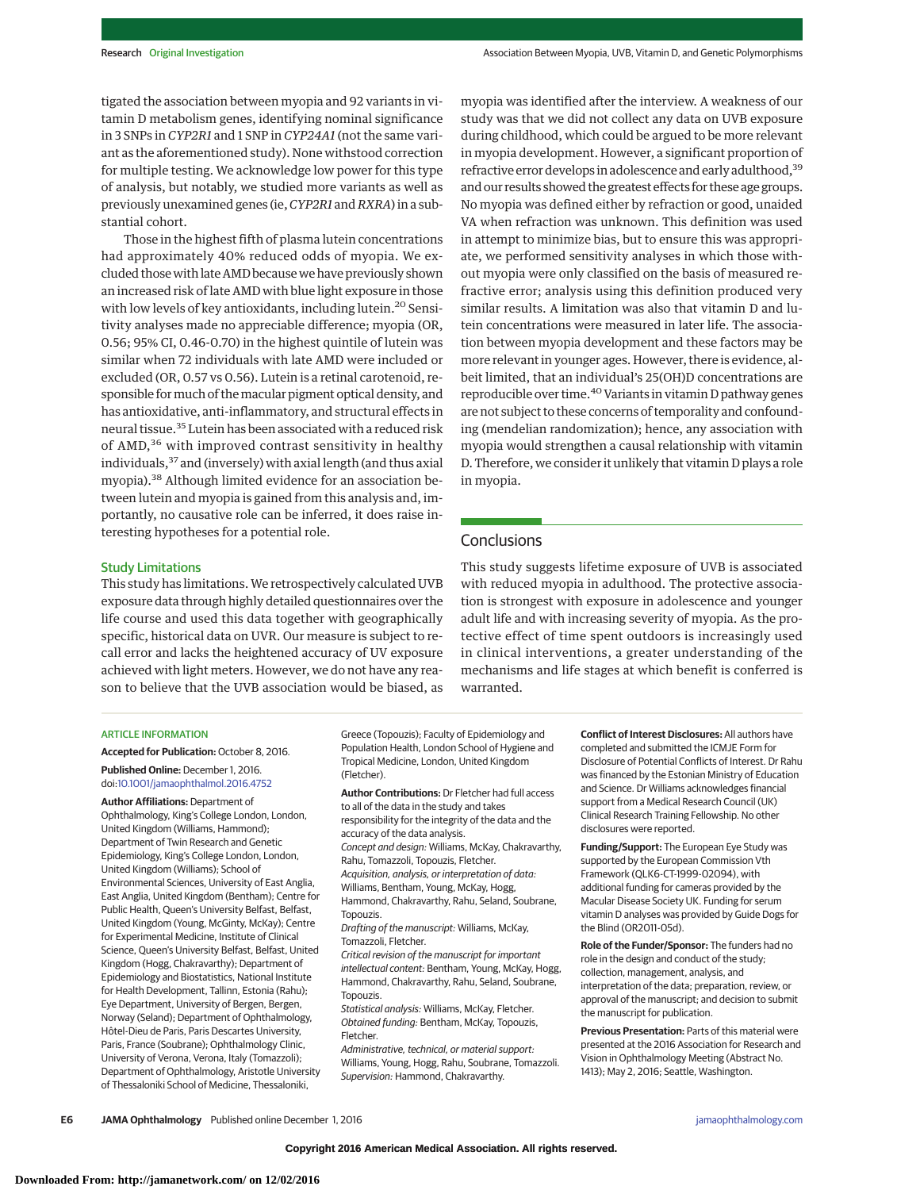tigated the association between myopia and 92 variants in vitamin D metabolism genes, identifying nominal significance in 3 SNPs in *CYP2R1* and 1 SNP in *CYP24A1* (not the same variant as the aforementioned study). None withstood correction for multiple testing. We acknowledge low power for this type of analysis, but notably, we studied more variants as well as previously unexamined genes (ie,*CYP2R1* and*RXRA*) in a substantial cohort.

Those in the highest fifth of plasma lutein concentrations had approximately 40% reduced odds of myopia. We excluded those with late AMD because we have previously shown an increased risk of late AMD with blue light exposure in those with low levels of key antioxidants, including lutein.<sup>20</sup> Sensitivity analyses made no appreciable difference; myopia (OR, 0.56; 95% CI, 0.46-0.70) in the highest quintile of lutein was similar when 72 individuals with late AMD were included or excluded (OR, 0.57 vs 0.56). Lutein is a retinal carotenoid, responsible formuch of themacular pigment optical density, and has antioxidative, anti-inflammatory, and structural effects in neural tissue.<sup>35</sup> Lutein has been associated with a reduced risk of AMD,<sup>36</sup> with improved contrast sensitivity in healthy individuals,<sup>37</sup> and (inversely) with axial length (and thus axial myopia).<sup>38</sup> Although limited evidence for an association between lutein and myopia is gained from this analysis and, importantly, no causative role can be inferred, it does raise interesting hypotheses for a potential role.

myopia was identified after the interview. A weakness of our study was that we did not collect any data on UVB exposure during childhood, which could be argued to be more relevant in myopia development. However, a significant proportion of refractive error develops in adolescence and early adulthood,<sup>39</sup> and our results showed the greatest effects for these age groups. No myopia was defined either by refraction or good, unaided VA when refraction was unknown. This definition was used in attempt to minimize bias, but to ensure this was appropriate, we performed sensitivity analyses in which those without myopia were only classified on the basis of measured refractive error; analysis using this definition produced very similar results. A limitation was also that vitamin D and lutein concentrations were measured in later life. The association between myopia development and these factors may be more relevant in younger ages. However, there is evidence, albeit limited, that an individual's 25(OH)D concentrations are reproducible over time.<sup>40</sup> Variants in vitamin D pathway genes are not subject to these concerns of temporality and confounding (mendelian randomization); hence, any association with myopia would strengthen a causal relationship with vitamin D. Therefore, we consider it unlikely that vitamin D plays a role in myopia.

# **Conclusions**

Study Limitations

This study has limitations. We retrospectively calculated UVB exposure data through highly detailed questionnaires over the life course and used this data together with geographically specific, historical data on UVR. Our measure is subject to recall error and lacks the heightened accuracy of UV exposure achieved with light meters. However, we do not have any reason to believe that the UVB association would be biased, as This study suggests lifetime exposure of UVB is associated with reduced myopia in adulthood. The protective association is strongest with exposure in adolescence and younger adult life and with increasing severity of myopia. As the protective effect of time spent outdoors is increasingly used in clinical interventions, a greater understanding of the mechanisms and life stages at which benefit is conferred is warranted.

#### ARTICLE INFORMATION

**Accepted for Publication:** October 8, 2016.

**Published Online:** December 1, 2016. doi[:10.1001/jamaophthalmol.2016.4752](http://jama.jamanetwork.com/article.aspx?doi=10.1001/jamaophthalmol.2016.4752&utm_campaign=articlePDF%26utm_medium=articlePDFlink%26utm_source=articlePDF%26utm_content=jamaophthalmol.2016.4752)

**Author Affiliations:** Department of Ophthalmology, King's College London, London, United Kingdom (Williams, Hammond); Department of Twin Research and Genetic Epidemiology, King's College London, London, United Kingdom (Williams); School of Environmental Sciences, University of East Anglia, East Anglia, United Kingdom (Bentham); Centre for Public Health, Queen's University Belfast, Belfast, United Kingdom (Young, McGinty, McKay); Centre for Experimental Medicine, Institute of Clinical Science, Queen's University Belfast, Belfast, United Kingdom (Hogg, Chakravarthy); Department of Epidemiology and Biostatistics, National Institute for Health Development, Tallinn, Estonia (Rahu); Eye Department, University of Bergen, Bergen, Norway (Seland); Department of Ophthalmology, Hôtel-Dieu de Paris, Paris Descartes University, Paris, France (Soubrane); Ophthalmology Clinic, University of Verona, Verona, Italy (Tomazzoli); Department of Ophthalmology, Aristotle University of Thessaloniki School of Medicine, Thessaloniki,

Greece (Topouzis); Faculty of Epidemiology and Population Health, London School of Hygiene and Tropical Medicine, London, United Kingdom (Fletcher).

**Author Contributions:** Dr Fletcher had full access to all of the data in the study and takes responsibility for the integrity of the data and the accuracy of the data analysis. Concept and design: Williams, McKay, Chakravarthy, Rahu, Tomazzoli, Topouzis, Fletcher. Acquisition, analysis, or interpretation of data: Williams, Bentham, Young, McKay, Hogg, Hammond, Chakravarthy, Rahu, Seland, Soubrane, Topouzis. Drafting of the manuscript: Williams, McKay, Tomazzoli, Fletcher. Critical revision of the manuscript for important intellectual content: Bentham, Young, McKay, Hogg,

Hammond, Chakravarthy, Rahu, Seland, Soubrane, Topouzis. Statistical analysis: Williams, McKay, Fletcher.

Obtained funding: Bentham, McKay, Topouzis, Fletcher. Administrative, technical, or material support:

Williams, Young, Hogg, Rahu, Soubrane, Tomazzoli. Supervision: Hammond, Chakravarthy.

**Conflict of Interest Disclosures:** All authors have completed and submitted the ICMJE Form for Disclosure of Potential Conflicts of Interest. Dr Rahu was financed by the Estonian Ministry of Education and Science. Dr Williams acknowledges financial support from a Medical Research Council (UK) Clinical Research Training Fellowship. No other disclosures were reported.

**Funding/Support:** The European Eye Study was supported by the European Commission Vth Framework (QLK6-CT-1999-02094), with additional funding for cameras provided by the Macular Disease Society UK. Funding for serum vitamin D analyses was provided by Guide Dogs for the Blind (OR2011-05d).

**Role of the Funder/Sponsor:** The funders had no role in the design and conduct of the study; collection, management, analysis, and interpretation of the data; preparation, review, or approval of the manuscript; and decision to submit the manuscript for publication.

**Previous Presentation:** Parts of this material were presented at the 2016 Association for Research and Vision in Ophthalmology Meeting (Abstract No. 1413); May 2, 2016; Seattle, Washington.